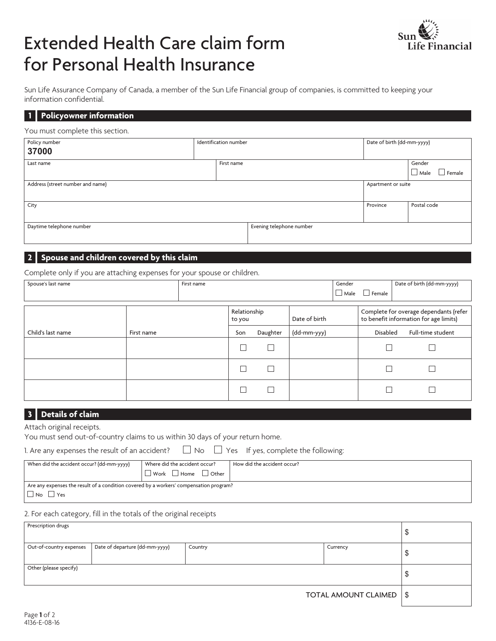# Extended Health Care claim form for Personal Health Insurance



Sun Life Assurance Company of Canada, a member of the Sun Life Financial group of companies, is committed to keeping your information confidential.

### **1 Policyowner information**

#### You must complete this section.

| Policy number<br>37000           | Identification number |            | Date of birth (dd-mm-yyyy) |                    |                                 |
|----------------------------------|-----------------------|------------|----------------------------|--------------------|---------------------------------|
| Last name                        |                       | First name |                            |                    | Gender<br>$\Box$ Male<br>Female |
| Address (street number and name) |                       |            |                            | Apartment or suite |                                 |
| City                             |                       |            |                            | Province           | Postal code                     |
| Daytime telephone number         |                       |            | Evening telephone number   |                    |                                 |

## **2 Spouse and children covered by this claim**

Complete only if you are attaching expenses for your spouse or children.

| Spouse's last name |            | First name |                        |              |               | Gender<br>$\Box$ Male | $\Box$ Female   | Date of birth (dd-mm-yyyy)                                                       |
|--------------------|------------|------------|------------------------|--------------|---------------|-----------------------|-----------------|----------------------------------------------------------------------------------|
|                    |            |            | Relationship<br>to you |              | Date of birth |                       |                 | Complete for overage dependants (refer<br>to benefit information for age limits) |
| Child's last name  | First name |            | Son                    | Daughter     | (dd-mm-yyy)   |                       | <b>Disabled</b> | Full-time student                                                                |
|                    |            |            |                        | $\mathbf{I}$ |               |                       |                 |                                                                                  |
|                    |            |            |                        | L            |               |                       |                 |                                                                                  |
|                    |            |            |                        | Г            |               |                       |                 |                                                                                  |

# **3 Details of claim**

Attach original receipts.

You must send out-of-country claims to us within 30 days of your return home.

| 1. Are any expenses the result of an accident? |
|------------------------------------------------|
|------------------------------------------------|

 $\Box$  No  $\Box$  Yes If yes, complete the following:

| When did the accident occur? (dd-mm-yyyy)                                              | $\mathsf I$ Where did the accident occur? | How did the accident occur? |  |  |
|----------------------------------------------------------------------------------------|-------------------------------------------|-----------------------------|--|--|
|                                                                                        | I Work □ Home □ Other                     |                             |  |  |
| Are any expenses the result of a condition covered by a workers' compensation program? |                                           |                             |  |  |
| $\Box$ No $\Box$<br><sup>1</sup> Yes                                                   |                                           |                             |  |  |

## 2. For each category, fill in the totals of the original receipts

| Prescription drugs      |                                |         |                           | Ψ  |
|-------------------------|--------------------------------|---------|---------------------------|----|
| Out-of-country expenses | Date of departure (dd-mm-yyyy) | Country | Currency                  | \$ |
| Other (please specify)  |                                |         | ◡                         |    |
|                         |                                |         | TOTAL AMOUNT CLAIMED   \$ |    |